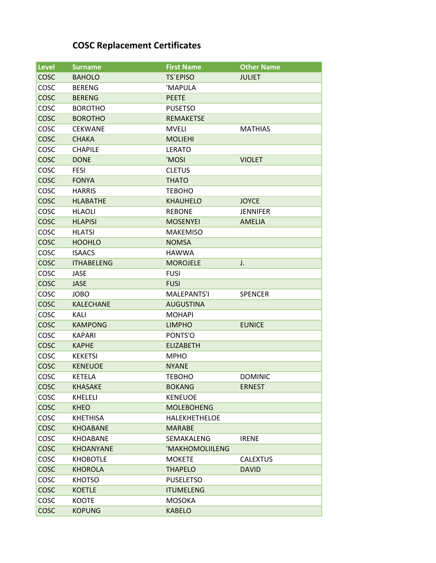## **COSC Replacement Certificates**

| <b>Level</b> | <b>Surname</b>    | <b>First Name</b> | <b>Other Name</b> |
|--------------|-------------------|-------------------|-------------------|
| <b>COSC</b>  | <b>BAHOLO</b>     | <b>TS'EPISO</b>   | <b>JULIET</b>     |
| COSC         | <b>BERENG</b>     | 'MAPULA           |                   |
| COSC         | <b>BERENG</b>     | <b>PEETE</b>      |                   |
| COSC         | <b>BOROTHO</b>    | <b>PUSETSO</b>    |                   |
| COSC         | <b>BOROTHO</b>    | <b>REMAKETSE</b>  |                   |
| COSC         | <b>CEKWANE</b>    | <b>MVELI</b>      | MATHIAS           |
| COSC         | <b>CHAKA</b>      | <b>MOLIEHI</b>    |                   |
| COSC         | <b>CHAPILE</b>    | <b>LERATO</b>     |                   |
| COSC         | <b>DONE</b>       | 'MOSI             | <b>VIOLET</b>     |
| COSC         | <b>FESI</b>       | <b>CLETUS</b>     |                   |
| COSC         | <b>FONYA</b>      | <b>THATO</b>      |                   |
| COSC         | <b>HARRIS</b>     | <b>TEBOHO</b>     |                   |
| COSC         | <b>HLABATHE</b>   | <b>KHAUHELO</b>   | <b>JOYCE</b>      |
| COSC         | <b>HLAOLI</b>     | <b>REBONE</b>     | <b>JENNIFER</b>   |
| COSC         | <b>HLAPISI</b>    | <b>MOSENYEI</b>   | <b>AMELIA</b>     |
| COSC         | <b>HLATSI</b>     | <b>MAKEMISO</b>   |                   |
| COSC         | <b>HOOHLO</b>     | <b>NOMSA</b>      |                   |
| COSC         | <b>ISAACS</b>     | <b>HAWWA</b>      |                   |
| COSC         | <b>ITHABELENG</b> | <b>MOROJELE</b>   | J.                |
| COSC         | <b>JASE</b>       | <b>FUSI</b>       |                   |
| COSC         | <b>JASE</b>       | <b>FUSI</b>       |                   |
| COSC         | <b>JOBO</b>       | MALEPANTS'I       | <b>SPENCER</b>    |
| COSC         | <b>KALECHANE</b>  | <b>AUGUSTINA</b>  |                   |
| COSC         | KALI              | <b>MOHAPI</b>     |                   |
| COSC         | <b>KAMPONG</b>    | <b>LIMPHO</b>     | <b>EUNICE</b>     |
| COSC         | <b>KAPARI</b>     | PONTS'O           |                   |
| COSC         | <b>KAPHE</b>      | <b>ELIZABETH</b>  |                   |
| COSC         | <b>KEKETSI</b>    | <b>MPHO</b>       |                   |
| COSC         | <b>KENEUOE</b>    | <b>NYANE</b>      |                   |
| COSC         | <b>KETELA</b>     | <b>TEBOHO</b>     | <b>DOMINIC</b>    |
| COSC         | <b>KHASAKE</b>    | <b>BOKANG</b>     | <b>ERNEST</b>     |
| COSC         | <b>KHELELI</b>    | <b>KENEUOE</b>    |                   |
| <b>COSC</b>  | <b>KHEO</b>       | <b>MOLEBOHENG</b> |                   |
| COSC         | <b>KHETHISA</b>   | HALEKHETHELOE     |                   |
| COSC         | <b>KHOABANE</b>   | <b>MARABE</b>     |                   |
| COSC         | <b>KHOABANE</b>   | <b>SEMAKALENG</b> | <b>IRENE</b>      |
| COSC         | <b>KHOANYANE</b>  | 'MAKHOMOLIILENG   |                   |
| COSC         | <b>KHOBOTLE</b>   | <b>MOKETE</b>     | <b>CALEXTUS</b>   |
| COSC         | <b>KHOROLA</b>    | <b>THAPELO</b>    | <b>DAVID</b>      |
| COSC         | <b>KHOTSO</b>     | <b>PUSELETSO</b>  |                   |
| COSC         | <b>KOETLE</b>     | <b>ITUMELENG</b>  |                   |
| COSC         | KOOTE             | <b>MOSOKA</b>     |                   |
| COSC         | <b>KOPUNG</b>     | <b>KABELO</b>     |                   |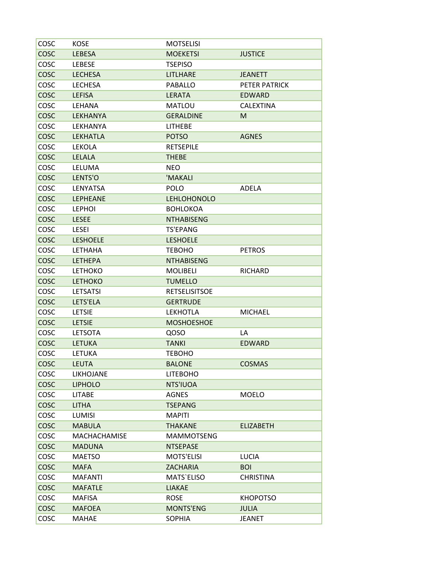| COSC        | <b>KOSE</b>         | <b>MOTSELISI</b>     |                  |
|-------------|---------------------|----------------------|------------------|
| COSC        | LEBESA              | <b>MOEKETSI</b>      | <b>JUSTICE</b>   |
| COSC        | <b>LEBESE</b>       | <b>TSEPISO</b>       |                  |
| COSC        | <b>LECHESA</b>      | <b>LITLHARE</b>      | <b>JEANETT</b>   |
| COSC        | <b>LECHESA</b>      | <b>PABALLO</b>       | PETER PATRICK    |
| COSC        | <b>LEFISA</b>       | <b>LERATA</b>        | <b>EDWARD</b>    |
| COSC        | LEHANA              | <b>MATLOU</b>        | <b>CALEXTINA</b> |
| <b>COSC</b> | <b>LEKHANYA</b>     | <b>GERALDINE</b>     | M                |
| COSC        | LEKHANYA            | <b>LITHEBE</b>       |                  |
| COSC        | <b>LEKHATLA</b>     | <b>POTSO</b>         | <b>AGNES</b>     |
| COSC        | <b>LEKOLA</b>       | <b>RETSEPILE</b>     |                  |
| COSC        | <b>LELALA</b>       | <b>THEBE</b>         |                  |
| COSC        | LELUMA              | <b>NEO</b>           |                  |
| COSC        | LENTS'O             | 'MAKALI              |                  |
| COSC        | LENYATSA            | <b>POLO</b>          | <b>ADELA</b>     |
| COSC        | <b>LEPHEANE</b>     | <b>LEHLOHONOLO</b>   |                  |
| COSC        | <b>LEPHOI</b>       | <b>BOHLOKOA</b>      |                  |
| <b>COSC</b> | <b>LESEE</b>        | <b>NTHABISENG</b>    |                  |
| COSC        | <b>LESEI</b>        | <b>TS'EPANG</b>      |                  |
| <b>COSC</b> | <b>LESHOELE</b>     | <b>LESHOELE</b>      |                  |
| COSC        | <b>LETHAHA</b>      | <b>TEBOHO</b>        | <b>PETROS</b>    |
| COSC        | <b>LETHEPA</b>      | <b>NTHABISENG</b>    |                  |
| COSC        | <b>LETHOKO</b>      | <b>MOLIBELI</b>      | <b>RICHARD</b>   |
| COSC        | <b>LETHOKO</b>      | <b>TUMELLO</b>       |                  |
| COSC        | <b>LETSATSI</b>     | <b>RETSELISITSOE</b> |                  |
| COSC        | LETS'ELA            | <b>GERTRUDE</b>      |                  |
| COSC        | <b>LETSIE</b>       | <b>LEKHOTLA</b>      | <b>MICHAEL</b>   |
| COSC        | <b>LETSIE</b>       | <b>MOSHOESHOE</b>    |                  |
| COSC        | <b>LETSOTA</b>      | QOSO                 | LA               |
| COSC        | <b>LETUKA</b>       | <b>TANKI</b>         | <b>EDWARD</b>    |
| COSC        | <b>LETUKA</b>       | <b>TEBOHO</b>        |                  |
| COSC        | <b>LEUTA</b>        | <b>BALONE</b>        | <b>COSMAS</b>    |
| COSC        | LIKHOJANE           | <b>LITEBOHO</b>      |                  |
| COSC        | <b>LIPHOLO</b>      | NTS'IUOA             |                  |
| COSC        | <b>LITABE</b>       | <b>AGNES</b>         | <b>MOELO</b>     |
| COSC        | <b>LITHA</b>        | <b>TSEPANG</b>       |                  |
| COSC        | LUMISI              | <b>MAPITI</b>        |                  |
| COSC        | <b>MABULA</b>       | <b>THAKANE</b>       | <b>ELIZABETH</b> |
| COSC        | <b>MACHACHAMISE</b> | <b>MAMMOTSENG</b>    |                  |
| COSC        | <b>MADUNA</b>       | <b>NTSEPASE</b>      |                  |
| COSC        | <b>MAETSO</b>       | <b>MOTS'ELISI</b>    | <b>LUCIA</b>     |
| <b>COSC</b> | MAFA                | <b>ZACHARIA</b>      | <b>BOI</b>       |
| COSC        | <b>MAFANTI</b>      | MATS`ELISO           | <b>CHRISTINA</b> |
| COSC        | <b>MAFATLE</b>      | <b>LIAKAE</b>        |                  |
| COSC        | <b>MAFISA</b>       | <b>ROSE</b>          | <b>KHOPOTSO</b>  |
| COSC        | <b>MAFOEA</b>       | <b>MONTS'ENG</b>     | <b>JULIA</b>     |
| COSC        | <b>MAHAE</b>        | SOPHIA               | JEANET           |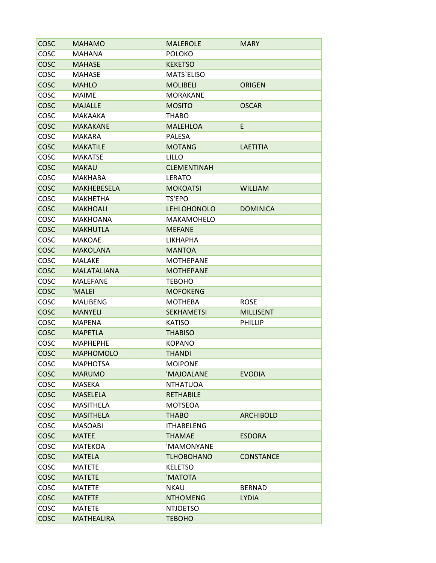| <b>COSC</b> | <b>MAHAMO</b>      | <b>MALEROLE</b>    | <b>MARY</b>      |
|-------------|--------------------|--------------------|------------------|
| COSC        | MAHANA             | <b>POLOKO</b>      |                  |
| COSC        | <b>MAHASE</b>      | <b>KEKETSO</b>     |                  |
| COSC        | <b>MAHASE</b>      | <b>MATS'ELISO</b>  |                  |
| COSC        | <b>MAHLO</b>       | <b>MOLIBELI</b>    | <b>ORIGEN</b>    |
| COSC        | <b>MAIME</b>       | <b>MORAKANE</b>    |                  |
| COSC        | <b>MAJALLE</b>     | <b>MOSITO</b>      | <b>OSCAR</b>     |
| COSC        | MAKAAKA            | <b>THABO</b>       |                  |
| COSC        | <b>MAKAKANE</b>    | <b>MALEHLOA</b>    | E.               |
| COSC        | <b>MAKARA</b>      | <b>PALESA</b>      |                  |
| <b>COSC</b> | <b>MAKATILE</b>    | <b>MOTANG</b>      | LAETITIA         |
| COSC        | <b>MAKATSE</b>     | LILLO              |                  |
| COSC        | <b>MAKAU</b>       | <b>CLEMENTINAH</b> |                  |
| COSC        | <b>MAKHABA</b>     | <b>LERATO</b>      |                  |
| COSC        | <b>MAKHEBESELA</b> | <b>MOKOATSI</b>    | <b>WILLIAM</b>   |
| COSC        | <b>MAKHETHA</b>    | TS'EPO             |                  |
| COSC        | <b>MAKHOALI</b>    | <b>LEHLOHONOLO</b> | <b>DOMINICA</b>  |
| COSC        | <b>MAKHOANA</b>    | MAKAMOHELO         |                  |
| COSC        | <b>MAKHUTLA</b>    | <b>MEFANE</b>      |                  |
| COSC        | <b>MAKOAE</b>      | <b>LIKHAPHA</b>    |                  |
| COSC        | <b>MAKOLANA</b>    | <b>MANTOA</b>      |                  |
| COSC        | MALAKE             | <b>MOTHEPANE</b>   |                  |
| COSC        | <b>MALATALIANA</b> | <b>MOTHEPANE</b>   |                  |
| COSC        | <b>MALEFANE</b>    | <b>TEBOHO</b>      |                  |
| COSC        | 'MALEI             | <b>MOFOKENG</b>    |                  |
| COSC        | <b>MALIBENG</b>    | <b>MOTHEBA</b>     | <b>ROSE</b>      |
| <b>COSC</b> | <b>MANYELI</b>     | <b>SEKHAMETSI</b>  | <b>MILLISENT</b> |
| COSC        | <b>MAPENA</b>      | <b>KATISO</b>      | PHILLIP          |
| COSC        | <b>MAPETLA</b>     | <b>THABISO</b>     |                  |
| COSC        | <b>MAPHEPHE</b>    | <b>KOPANO</b>      |                  |
| COSC        | <b>MAPHOMOLO</b>   | <b>THANDI</b>      |                  |
| COSC        | <b>MAPHOTSA</b>    | <b>MOIPONE</b>     |                  |
| COSC        | <b>MARUMO</b>      | 'MAJOALANE         | <b>EVODIA</b>    |
| COSC        | MASEKA             | <b>NTHATUOA</b>    |                  |
| COSC        | <b>MASELELA</b>    | <b>RETHABILE</b>   |                  |
| COSC        | MASITHELA          | <b>MOTSEOA</b>     |                  |
| COSC        | <b>MASITHELA</b>   | <b>THABO</b>       | <b>ARCHIBOLD</b> |
| COSC        | <b>MASOABI</b>     | <b>ITHABELENG</b>  |                  |
| <b>COSC</b> | <b>MATEE</b>       | <b>THAMAE</b>      | <b>ESDORA</b>    |
| COSC        | MATEKOA            | 'MAMONYANE         |                  |
| <b>COSC</b> | MATELA             | <b>TLHOBOHANO</b>  | <b>CONSTANCE</b> |
| COSC        | <b>MATETE</b>      | <b>KELETSO</b>     |                  |
| COSC        | <b>MATETE</b>      | 'MATOTA            |                  |
| COSC        | <b>MATETE</b>      | <b>NKAU</b>        | <b>BERNAD</b>    |
| COSC        | <b>MATETE</b>      | <b>NTHOMENG</b>    | <b>LYDIA</b>     |
| COSC        | <b>MATETE</b>      | <b>NTJOETSO</b>    |                  |
| COSC        | MATHEALIRA         | <b>TEBOHO</b>      |                  |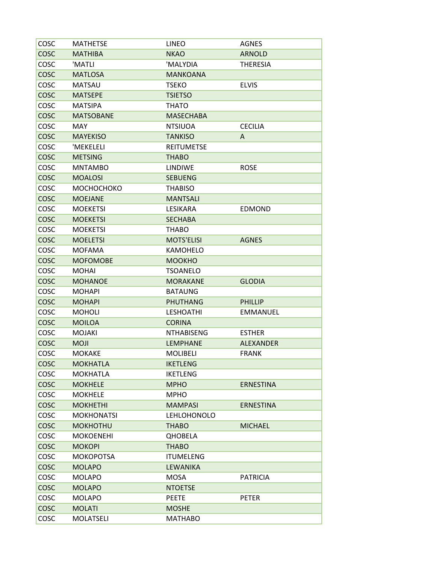| COSC        | <b>MATHETSE</b>   | <b>LINEO</b>       | AGNES            |
|-------------|-------------------|--------------------|------------------|
| <b>COSC</b> | <b>MATHIBA</b>    | <b>NKAO</b>        | <b>ARNOLD</b>    |
| COSC        | 'MATLI            | 'MALYDIA           | <b>THERESIA</b>  |
| <b>COSC</b> | <b>MATLOSA</b>    | <b>MANKOANA</b>    |                  |
| COSC        | <b>MATSAU</b>     | <b>TSEKO</b>       | <b>ELVIS</b>     |
| <b>COSC</b> | <b>MATSEPE</b>    | <b>TSIETSO</b>     |                  |
| COSC        | <b>MATSIPA</b>    | <b>THATO</b>       |                  |
| COSC        | <b>MATSOBANE</b>  | <b>MASECHABA</b>   |                  |
| COSC        | <b>MAY</b>        | <b>NTSIUOA</b>     | <b>CECILIA</b>   |
| COSC        | <b>MAYEKISO</b>   | <b>TANKISO</b>     | A                |
| COSC        | 'MEKELELI         | <b>REITUMETSE</b>  |                  |
| COSC        | <b>METSING</b>    | <b>THABO</b>       |                  |
| COSC        | <b>MNTAMBO</b>    | <b>LINDIWE</b>     | <b>ROSE</b>      |
| COSC        | <b>MOALOSI</b>    | <b>SEBUENG</b>     |                  |
| COSC        | МОСНОСНОКО        | <b>THABISO</b>     |                  |
| COSC        | <b>MOEJANE</b>    | <b>MANTSALI</b>    |                  |
| COSC        | <b>MOEKETSI</b>   | LESIKARA           | EDMOND           |
| COSC        | <b>MOEKETSI</b>   | <b>SECHABA</b>     |                  |
| COSC        | <b>MOEKETSI</b>   | <b>THABO</b>       |                  |
| COSC        | <b>MOELETSI</b>   | <b>MOTS'ELISI</b>  | <b>AGNES</b>     |
| COSC        | <b>MOFAMA</b>     | <b>KAMOHELO</b>    |                  |
| COSC        | <b>MOFOMOBE</b>   | <b>MOOKHO</b>      |                  |
| COSC        | <b>MOHAI</b>      | <b>TSOANELO</b>    |                  |
| COSC        | <b>MOHANOE</b>    | <b>MORAKANE</b>    | <b>GLODIA</b>    |
| COSC        | <b>MOHAPI</b>     | <b>BATAUNG</b>     |                  |
| COSC        | <b>MOHAPI</b>     | <b>PHUTHANG</b>    | <b>PHILLIP</b>   |
| COSC        | <b>MOHOLI</b>     | <b>LESHOATHI</b>   | <b>EMMANUEL</b>  |
| COSC        | <b>MOILOA</b>     | <b>CORINA</b>      |                  |
| COSC        | <b>MOJAKI</b>     | <b>NTHABISENG</b>  | <b>ESTHER</b>    |
| <b>COSC</b> | <b>MOJI</b>       | <b>LEMPHANE</b>    | <b>ALEXANDER</b> |
| COSC        | <b>MOKAKE</b>     | <b>MOLIBELI</b>    | <b>FRANK</b>     |
| COSC        | <b>MOKHATLA</b>   | <b>IKETLENG</b>    |                  |
| COSC        | <b>MOKHATLA</b>   | <b>IKETLENG</b>    |                  |
| COSC        | <b>MOKHELE</b>    | <b>MPHO</b>        | <b>ERNESTINA</b> |
| COSC        | <b>MOKHELE</b>    | <b>MPHO</b>        |                  |
| COSC        | <b>MOKHETHI</b>   | <b>MAMPASI</b>     | <b>ERNESTINA</b> |
| COSC        | <b>MOKHONATSI</b> | <b>LEHLOHONOLO</b> |                  |
| COSC        | <b>MOKHOTHU</b>   | <b>THABO</b>       | <b>MICHAEL</b>   |
| COSC        | <b>MOKOENEHI</b>  | <b>QHOBELA</b>     |                  |
| COSC        | <b>MOKOPI</b>     | <b>THABO</b>       |                  |
| COSC        | <b>MOKOPOTSA</b>  | <b>ITUMELENG</b>   |                  |
| COSC        | <b>MOLAPO</b>     | <b>LEWANIKA</b>    |                  |
| COSC        | <b>MOLAPO</b>     | <b>MOSA</b>        | <b>PATRICIA</b>  |
| COSC        | <b>MOLAPO</b>     | <b>NTOETSE</b>     |                  |
| COSC        | <b>MOLAPO</b>     | <b>PEETE</b>       | <b>PETER</b>     |
| COSC        | <b>MOLATI</b>     | <b>MOSHE</b>       |                  |
| COSC        | <b>MOLATSELI</b>  | <b>MATHABO</b>     |                  |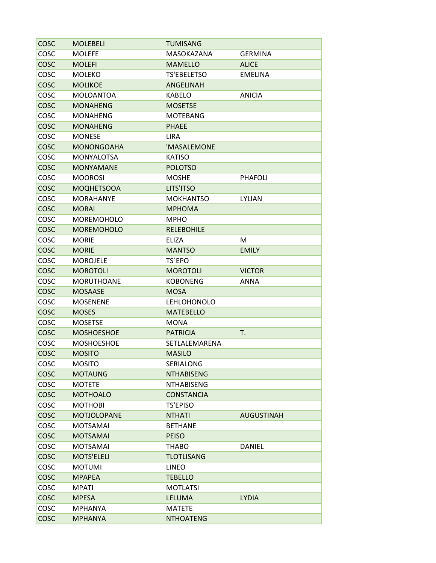| COSC        | <b>MOLEBELI</b>    | <b>TUMISANG</b>    |                   |
|-------------|--------------------|--------------------|-------------------|
| COSC        | <b>MOLEFE</b>      | MASOKAZANA         | <b>GERMINA</b>    |
| COSC        | <b>MOLEFI</b>      | <b>MAMELLO</b>     | <b>ALICE</b>      |
| COSC        | <b>MOLEKO</b>      | <b>TS'EBELETSO</b> | <b>EMELINA</b>    |
| COSC        | <b>MOLIKOE</b>     | ANGELINAH          |                   |
| COSC        | <b>MOLOANTOA</b>   | <b>KABELO</b>      | ANICIA            |
| COSC        | <b>MONAHENG</b>    | <b>MOSETSE</b>     |                   |
| COSC        | <b>MONAHENG</b>    | <b>MOTEBANG</b>    |                   |
| COSC        | <b>MONAHENG</b>    | <b>PHAEE</b>       |                   |
| COSC        | <b>MONESE</b>      | <b>LIRA</b>        |                   |
| COSC        | <b>MONONGOAHA</b>  | 'MASALEMONE        |                   |
| COSC        | <b>MONYALOTSA</b>  | <b>KATISO</b>      |                   |
| <b>COSC</b> | <b>MONYAMANE</b>   | <b>POLOTSO</b>     |                   |
| COSC        | <b>MOOROSI</b>     | <b>MOSHE</b>       | <b>PHAFOLI</b>    |
| COSC        | <b>MOQHETSOOA</b>  | LITS'ITSO          |                   |
| COSC        | <b>MORAHANYE</b>   | <b>MOKHANTSO</b>   | <b>LYLIAN</b>     |
| <b>COSC</b> | <b>MORAI</b>       | <b>MPHOMA</b>      |                   |
| COSC        | MOREMOHOLO         | <b>MPHO</b>        |                   |
| <b>COSC</b> | <b>MOREMOHOLO</b>  | <b>RELEBOHILE</b>  |                   |
| COSC        | <b>MORIE</b>       | <b>ELIZA</b>       | М                 |
| <b>COSC</b> | <b>MORIE</b>       | <b>MANTSO</b>      | <b>EMILY</b>      |
| COSC        | <b>MOROJELE</b>    | TS'EPO             |                   |
| COSC        | <b>MOROTOLI</b>    | <b>MOROTOLI</b>    | <b>VICTOR</b>     |
| COSC        | <b>MORUTHOANE</b>  | <b>KOBONENG</b>    | ANNA              |
| <b>COSC</b> | <b>MOSAASE</b>     | <b>MOSA</b>        |                   |
| COSC        | <b>MOSENENE</b>    | LEHLOHONOLO        |                   |
| <b>COSC</b> | <b>MOSES</b>       | <b>MATEBELLO</b>   |                   |
| COSC        | <b>MOSETSE</b>     | <b>MONA</b>        |                   |
| COSC        | <b>MOSHOESHOE</b>  | <b>PATRICIA</b>    | Τ.                |
| COSC        | <b>MOSHOESHOE</b>  | SETLALEMARENA      |                   |
| COSC        | <b>MOSITO</b>      | <b>MASILO</b>      |                   |
| COSC        | <b>MOSITO</b>      | SERIALONG          |                   |
| COSC        | <b>MOTAUNG</b>     | <b>NTHABISENG</b>  |                   |
| COSC        | <b>MOTETE</b>      | <b>NTHABISENG</b>  |                   |
| COSC        | <b>MOTHOALO</b>    | <b>CONSTANCIA</b>  |                   |
| COSC        | <b>MOTHOBI</b>     | <b>TS'EPISO</b>    |                   |
| <b>COSC</b> | <b>MOTJOLOPANE</b> | <b>NTHATI</b>      | <b>AUGUSTINAH</b> |
| COSC        | <b>MOTSAMAI</b>    | <b>BETHANE</b>     |                   |
| <b>COSC</b> | <b>MOTSAMAI</b>    | <b>PEISO</b>       |                   |
| COSC        | <b>MOTSAMAI</b>    | <b>THABO</b>       | DANIEL            |
| <b>COSC</b> | <b>MOTS'ELELI</b>  | <b>TLOTLISANG</b>  |                   |
| COSC        | <b>MOTUMI</b>      | LINEO              |                   |
| <b>COSC</b> | <b>MPAPEA</b>      | <b>TEBELLO</b>     |                   |
| COSC        | MPATI              | <b>MOTLATSI</b>    |                   |
| COSC        | <b>MPESA</b>       | <b>LELUMA</b>      | <b>LYDIA</b>      |
| COSC        | <b>MPHANYA</b>     | <b>MATETE</b>      |                   |
| COSC        | <b>MPHANYA</b>     | <b>NTHOATENG</b>   |                   |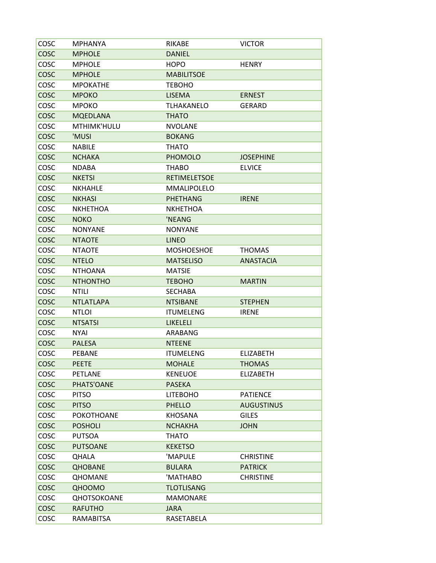| COSC        | <b>MPHANYA</b>    | <b>RIKABE</b>       | <b>VICTOR</b>     |
|-------------|-------------------|---------------------|-------------------|
| COSC        | <b>MPHOLE</b>     | <b>DANIEL</b>       |                   |
| COSC        | <b>MPHOLE</b>     | <b>HOPO</b>         | <b>HENRY</b>      |
| COSC        | <b>MPHOLE</b>     | <b>MABILITSOE</b>   |                   |
| COSC        | <b>MPOKATHE</b>   | <b>TEBOHO</b>       |                   |
| COSC        | <b>MPOKO</b>      | <b>LISEMA</b>       | <b>ERNEST</b>     |
| COSC        | <b>MPOKO</b>      | <b>TLHAKANELO</b>   | <b>GERARD</b>     |
| COSC        | <b>MQEDLANA</b>   | <b>THATO</b>        |                   |
| COSC        | MTHIMK'HULU       | <b>NVOLANE</b>      |                   |
| <b>COSC</b> | 'MUSI             | <b>BOKANG</b>       |                   |
| COSC        | <b>NABILE</b>     | <b>THATO</b>        |                   |
| COSC        | <b>NCHAKA</b>     | <b>PHOMOLO</b>      | <b>JOSEPHINE</b>  |
| COSC        | <b>NDABA</b>      | <b>THABO</b>        | <b>ELVICE</b>     |
| COSC        | <b>NKETSI</b>     | <b>RETIMELETSOE</b> |                   |
| COSC        | <b>NKHAHLE</b>    | <b>MMALIPOLELO</b>  |                   |
| <b>COSC</b> | <b>NKHASI</b>     | <b>PHETHANG</b>     | <b>IRENE</b>      |
| COSC        | <b>NKHETHOA</b>   | <b>NKHETHOA</b>     |                   |
| COSC        | <b>NOKO</b>       | 'NEANG              |                   |
| COSC        | <b>NONYANE</b>    | <b>NONYANE</b>      |                   |
| COSC        | <b>NTAOTE</b>     | <b>LINEO</b>        |                   |
| COSC        | <b>NTAOTE</b>     | <b>MOSHOESHOE</b>   | <b>THOMAS</b>     |
| COSC        | <b>NTELO</b>      | <b>MATSELISO</b>    | <b>ANASTACIA</b>  |
| COSC        | <b>NTHOANA</b>    | <b>MATSIE</b>       |                   |
| <b>COSC</b> | <b>NTHONTHO</b>   | <b>TEBOHO</b>       | <b>MARTIN</b>     |
| COSC        | NTILI             | <b>SECHABA</b>      |                   |
| COSC        | <b>NTLATLAPA</b>  | <b>NTSIBANE</b>     | <b>STEPHEN</b>    |
| COSC        | <b>NTLOI</b>      | <b>ITUMELENG</b>    | <b>IRENE</b>      |
| <b>COSC</b> | <b>NTSATSI</b>    | LIKELELI            |                   |
| COSC        | <b>NYAI</b>       | ARABANG             |                   |
| COSC        | <b>PALESA</b>     | <b>NTEENE</b>       |                   |
| COSC        | <b>PEBANE</b>     | <b>ITUMELENG</b>    | <b>ELIZABETH</b>  |
| COSC        | <b>PEETE</b>      | <b>MOHALE</b>       | <b>THOMAS</b>     |
| COSC        | <b>PETLANE</b>    | <b>KENEUOE</b>      | <b>ELIZABETH</b>  |
| COSC        | PHATS'OANE        | <b>PASEKA</b>       |                   |
| COSC        | <b>PITSO</b>      | <b>LITEBOHO</b>     | <b>PATIENCE</b>   |
| <b>COSC</b> | <b>PITSO</b>      | <b>PHELLO</b>       | <b>AUGUSTINUS</b> |
| COSC        | <b>POKOTHOANE</b> | <b>KHOSANA</b>      | <b>GILES</b>      |
| <b>COSC</b> | <b>POSHOLI</b>    | <b>NCHAKHA</b>      | <b>JOHN</b>       |
| COSC        | <b>PUTSOA</b>     | <b>THATO</b>        |                   |
| COSC        | <b>PUTSOANE</b>   | <b>KEKETSO</b>      |                   |
| COSC        | QHALA             | 'MAPULE             | <b>CHRISTINE</b>  |
| <b>COSC</b> | <b>QHOBANE</b>    | <b>BULARA</b>       | <b>PATRICK</b>    |
| COSC        | <b>QHOMANE</b>    | 'MATHABO            | <b>CHRISTINE</b>  |
| <b>COSC</b> | QHOOMO            | <b>TLOTLISANG</b>   |                   |
| COSC        | QHOTSOKOANE       | <b>MAMONARE</b>     |                   |
| COSC        | <b>RAFUTHO</b>    | <b>JARA</b>         |                   |
| COSC        | RAMABITSA         | RASETABELA          |                   |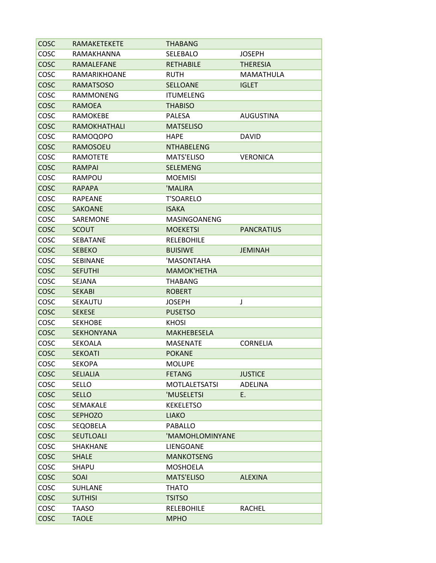| COSC        | <b>RAMAKETEKETE</b> | <b>THABANG</b>       |                   |
|-------------|---------------------|----------------------|-------------------|
| COSC        | RAMAKHANNA          | SELEBALO             | <b>JOSEPH</b>     |
| COSC        | RAMALEFANE          | <b>RETHABILE</b>     | <b>THERESIA</b>   |
| COSC        | RAMARIKHOANE        | <b>RUTH</b>          | MAMATHULA         |
| COSC        | <b>RAMATSOSO</b>    | <b>SELLOANE</b>      | <b>IGLET</b>      |
| COSC        | <b>RAMMONENG</b>    | <b>ITUMELENG</b>     |                   |
| <b>COSC</b> | <b>RAMOEA</b>       | <b>THABISO</b>       |                   |
| COSC        | RAMOKEBE            | <b>PALESA</b>        | <b>AUGUSTINA</b>  |
| <b>COSC</b> | RAMOKHATHALI        | <b>MATSELISO</b>     |                   |
| COSC        | <b>RAMOQOPO</b>     | <b>HAPE</b>          | <b>DAVID</b>      |
| COSC        | <b>RAMOSOEU</b>     | <b>NTHABELENG</b>    |                   |
| COSC        | <b>RAMOTETE</b>     | <b>MATS'ELISO</b>    | <b>VERONICA</b>   |
| COSC        | <b>RAMPAI</b>       | <b>SELEMENG</b>      |                   |
| COSC        | RAMPOU              | <b>MOEMISI</b>       |                   |
| COSC        | <b>RAPAPA</b>       | 'MALIRA              |                   |
| COSC        | <b>RAPEANE</b>      | <b>T'SOARELO</b>     |                   |
| <b>COSC</b> | <b>SAKOANE</b>      | <b>ISAKA</b>         |                   |
| COSC        | SAREMONE            | MASINGOANENG         |                   |
| <b>COSC</b> | <b>SCOUT</b>        | <b>MOEKETSI</b>      | <b>PANCRATIUS</b> |
| COSC        | SEBATANE            | <b>RELEBOHILE</b>    |                   |
| <b>COSC</b> | <b>SEBEKO</b>       | <b>BUISIWE</b>       | <b>JEMINAH</b>    |
| COSC        | <b>SEBINANE</b>     | 'MASONTAHA           |                   |
| <b>COSC</b> | <b>SEFUTHI</b>      | <b>MAMOK'HETHA</b>   |                   |
| COSC        | <b>SEJANA</b>       | <b>THABANG</b>       |                   |
| COSC        | <b>SEKABI</b>       | <b>ROBERT</b>        |                   |
| COSC        | SEKAUTU             | <b>JOSEPH</b>        | J                 |
| COSC        | <b>SEKESE</b>       | <b>PUSETSO</b>       |                   |
| COSC        | <b>SEKHOBE</b>      | <b>KHOSI</b>         |                   |
| COSC        | <b>SEKHONYANA</b>   | <b>MAKHEBESELA</b>   |                   |
| COSC        | SEKOALA             | <b>MASENATE</b>      | <b>CORNELIA</b>   |
| COSC        | <b>SEKOATI</b>      | <b>POKANE</b>        |                   |
| COSC        | <b>SEKOPA</b>       | <b>MOLUPE</b>        |                   |
| <b>COSC</b> | <b>SELIALIA</b>     | <b>FETANG</b>        | <b>JUSTICE</b>    |
| COSC        | SELLO               | <b>MOTLALETSATSI</b> | ADELINA           |
| <b>COSC</b> | <b>SELLO</b>        | 'MUSELETSI           | E.                |
| COSC        | SEMAKALE            | <b>KEKELETSO</b>     |                   |
| <b>COSC</b> | <b>SEPHOZO</b>      | <b>LIAKO</b>         |                   |
| COSC        | SEQOBELA            | <b>PABALLO</b>       |                   |
| <b>COSC</b> | SEUTLOALI           | 'MAMOHLOMINYANE      |                   |
| COSC        | SHAKHANE            | LIENGOANE            |                   |
| <b>COSC</b> | <b>SHALE</b>        | <b>MANKOTSENG</b>    |                   |
| COSC        | SHAPU               | <b>MOSHOELA</b>      |                   |
| <b>COSC</b> | SOAI                | <b>MATS'ELISO</b>    | <b>ALEXINA</b>    |
| COSC        | SUHLANE             | <b>THATO</b>         |                   |
| <b>COSC</b> | <b>SUTHISI</b>      | <b>TSITSO</b>        |                   |
| COSC        | <b>TAASO</b>        | <b>RELEBOHILE</b>    | <b>RACHEL</b>     |
| <b>COSC</b> | <b>TAOLE</b>        | <b>MPHO</b>          |                   |